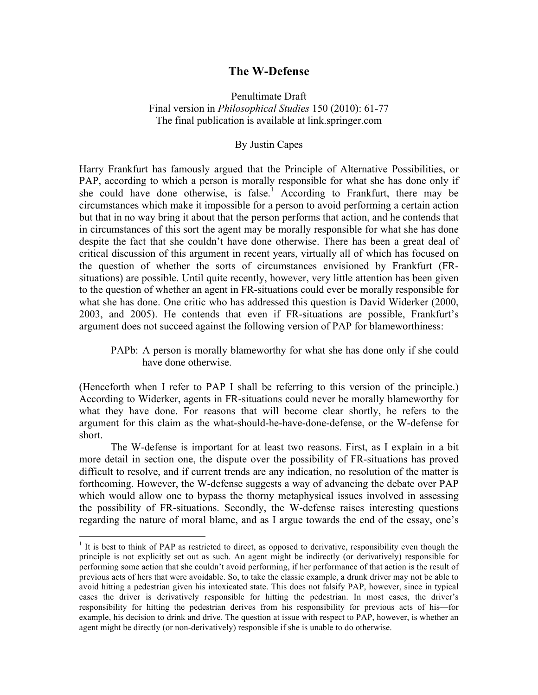# **The W-Defense**

# Penultimate Draft Final version in *Philosophical Studies* 150 (2010): 61-77 The final publication is available at link.springer.com

## By Justin Capes

Harry Frankfurt has famously argued that the Principle of Alternative Possibilities, or PAP, according to which a person is morally responsible for what she has done only if she could have done otherwise, is false.<sup>1</sup> According to Frankfurt, there may be circumstances which make it impossible for a person to avoid performing a certain action but that in no way bring it about that the person performs that action, and he contends that in circumstances of this sort the agent may be morally responsible for what she has done despite the fact that she couldn't have done otherwise. There has been a great deal of critical discussion of this argument in recent years, virtually all of which has focused on the question of whether the sorts of circumstances envisioned by Frankfurt (FRsituations) are possible. Until quite recently, however, very little attention has been given to the question of whether an agent in FR-situations could ever be morally responsible for what she has done. One critic who has addressed this question is David Widerker (2000, 2003, and 2005). He contends that even if FR-situations are possible, Frankfurt's argument does not succeed against the following version of PAP for blameworthiness:

PAPb: A person is morally blameworthy for what she has done only if she could have done otherwise.

(Henceforth when I refer to PAP I shall be referring to this version of the principle.) According to Widerker, agents in FR-situations could never be morally blameworthy for what they have done. For reasons that will become clear shortly, he refers to the argument for this claim as the what-should-he-have-done-defense, or the W-defense for short.

The W-defense is important for at least two reasons. First, as I explain in a bit more detail in section one, the dispute over the possibility of FR-situations has proved difficult to resolve, and if current trends are any indication, no resolution of the matter is forthcoming. However, the W-defense suggests a way of advancing the debate over PAP which would allow one to bypass the thorny metaphysical issues involved in assessing the possibility of FR-situations. Secondly, the W-defense raises interesting questions regarding the nature of moral blame, and as I argue towards the end of the essay, one's

 $<sup>1</sup>$  It is best to think of PAP as restricted to direct, as opposed to derivative, responsibility even though the</sup> principle is not explicitly set out as such. An agent might be indirectly (or derivatively) responsible for performing some action that she couldn't avoid performing, if her performance of that action is the result of previous acts of hers that were avoidable. So, to take the classic example, a drunk driver may not be able to avoid hitting a pedestrian given his intoxicated state. This does not falsify PAP, however, since in typical cases the driver is derivatively responsible for hitting the pedestrian. In most cases, the driver's responsibility for hitting the pedestrian derives from his responsibility for previous acts of his—for example, his decision to drink and drive. The question at issue with respect to PAP, however, is whether an agent might be directly (or non-derivatively) responsible if she is unable to do otherwise.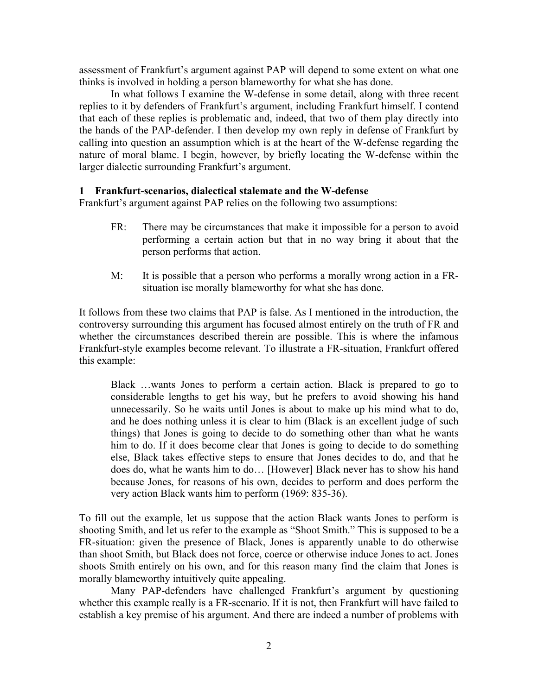assessment of Frankfurt's argument against PAP will depend to some extent on what one thinks is involved in holding a person blameworthy for what she has done.

In what follows I examine the W-defense in some detail, along with three recent replies to it by defenders of Frankfurt's argument, including Frankfurt himself. I contend that each of these replies is problematic and, indeed, that two of them play directly into the hands of the PAP-defender. I then develop my own reply in defense of Frankfurt by calling into question an assumption which is at the heart of the W-defense regarding the nature of moral blame. I begin, however, by briefly locating the W-defense within the larger dialectic surrounding Frankfurt's argument.

## **1 Frankfurt-scenarios, dialectical stalemate and the W-defense**

Frankfurt's argument against PAP relies on the following two assumptions:

- FR: There may be circumstances that make it impossible for a person to avoid performing a certain action but that in no way bring it about that the person performs that action.
- M: It is possible that a person who performs a morally wrong action in a FRsituation ise morally blameworthy for what she has done.

It follows from these two claims that PAP is false. As I mentioned in the introduction, the controversy surrounding this argument has focused almost entirely on the truth of FR and whether the circumstances described therein are possible. This is where the infamous Frankfurt-style examples become relevant. To illustrate a FR-situation, Frankfurt offered this example:

Black …wants Jones to perform a certain action. Black is prepared to go to considerable lengths to get his way, but he prefers to avoid showing his hand unnecessarily. So he waits until Jones is about to make up his mind what to do, and he does nothing unless it is clear to him (Black is an excellent judge of such things) that Jones is going to decide to do something other than what he wants him to do. If it does become clear that Jones is going to decide to do something else, Black takes effective steps to ensure that Jones decides to do, and that he does do, what he wants him to do… [However] Black never has to show his hand because Jones, for reasons of his own, decides to perform and does perform the very action Black wants him to perform (1969: 835-36).

To fill out the example, let us suppose that the action Black wants Jones to perform is shooting Smith, and let us refer to the example as "Shoot Smith." This is supposed to be a FR-situation: given the presence of Black, Jones is apparently unable to do otherwise than shoot Smith, but Black does not force, coerce or otherwise induce Jones to act. Jones shoots Smith entirely on his own, and for this reason many find the claim that Jones is morally blameworthy intuitively quite appealing.

Many PAP-defenders have challenged Frankfurt's argument by questioning whether this example really is a FR-scenario. If it is not, then Frankfurt will have failed to establish a key premise of his argument. And there are indeed a number of problems with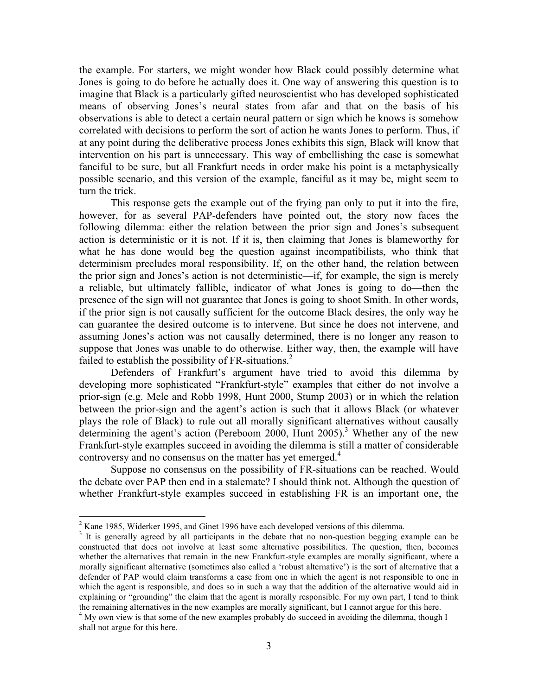the example. For starters, we might wonder how Black could possibly determine what Jones is going to do before he actually does it. One way of answering this question is to imagine that Black is a particularly gifted neuroscientist who has developed sophisticated means of observing Jones's neural states from afar and that on the basis of his observations is able to detect a certain neural pattern or sign which he knows is somehow correlated with decisions to perform the sort of action he wants Jones to perform. Thus, if at any point during the deliberative process Jones exhibits this sign, Black will know that intervention on his part is unnecessary. This way of embellishing the case is somewhat fanciful to be sure, but all Frankfurt needs in order make his point is a metaphysically possible scenario, and this version of the example, fanciful as it may be, might seem to turn the trick.

This response gets the example out of the frying pan only to put it into the fire, however, for as several PAP-defenders have pointed out, the story now faces the following dilemma: either the relation between the prior sign and Jones's subsequent action is deterministic or it is not. If it is, then claiming that Jones is blameworthy for what he has done would beg the question against incompatibilists, who think that determinism precludes moral responsibility. If, on the other hand, the relation between the prior sign and Jones's action is not deterministic—if, for example, the sign is merely a reliable, but ultimately fallible, indicator of what Jones is going to do—then the presence of the sign will not guarantee that Jones is going to shoot Smith. In other words, if the prior sign is not causally sufficient for the outcome Black desires, the only way he can guarantee the desired outcome is to intervene. But since he does not intervene, and assuming Jones's action was not causally determined, there is no longer any reason to suppose that Jones was unable to do otherwise. Either way, then, the example will have failed to establish the possibility of FR-situations.<sup>2</sup>

Defenders of Frankfurt's argument have tried to avoid this dilemma by developing more sophisticated "Frankfurt-style" examples that either do not involve a prior-sign (e.g. Mele and Robb 1998, Hunt 2000, Stump 2003) or in which the relation between the prior-sign and the agent's action is such that it allows Black (or whatever plays the role of Black) to rule out all morally significant alternatives without causally determining the agent's action (Pereboom 2000, Hunt 2005).<sup>3</sup> Whether any of the new Frankfurt-style examples succeed in avoiding the dilemma is still a matter of considerable controversy and no consensus on the matter has yet emerged.<sup>4</sup>

Suppose no consensus on the possibility of FR-situations can be reached. Would the debate over PAP then end in a stalemate? I should think not. Although the question of whether Frankfurt-style examples succeed in establishing FR is an important one, the

<sup>&</sup>lt;sup>2</sup> Kane 1985, Widerker 1995, and Ginet 1996 have each developed versions of this dilemma.<br><sup>3</sup> It is generally agreed by all participants in the debate that no non-question begging example can be

constructed that does not involve at least some alternative possibilities. The question, then, becomes whether the alternatives that remain in the new Frankfurt-style examples are morally significant, where a morally significant alternative (sometimes also called a 'robust alternative') is the sort of alternative that a defender of PAP would claim transforms a case from one in which the agent is not responsible to one in which the agent is responsible, and does so in such a way that the addition of the alternative would aid in explaining or "grounding" the claim that the agent is morally responsible. For my own part, I tend to think

the remaining alternatives in the new examples are morally significant, but I cannot argue for this here. <sup>4</sup> My own view is that some of the new examples probably do succeed in avoiding the dilemma, though I shall not argue for this here.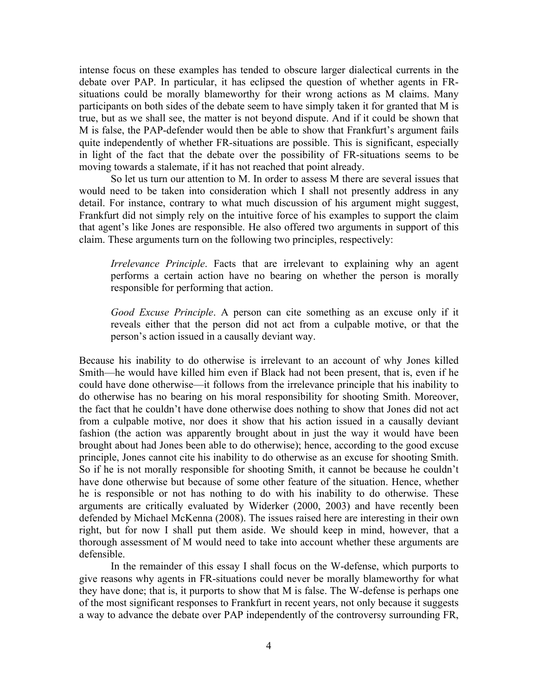intense focus on these examples has tended to obscure larger dialectical currents in the debate over PAP. In particular, it has eclipsed the question of whether agents in FRsituations could be morally blameworthy for their wrong actions as M claims. Many participants on both sides of the debate seem to have simply taken it for granted that M is true, but as we shall see, the matter is not beyond dispute. And if it could be shown that M is false, the PAP-defender would then be able to show that Frankfurt's argument fails quite independently of whether FR-situations are possible. This is significant, especially in light of the fact that the debate over the possibility of FR-situations seems to be moving towards a stalemate, if it has not reached that point already.

So let us turn our attention to M. In order to assess M there are several issues that would need to be taken into consideration which I shall not presently address in any detail. For instance, contrary to what much discussion of his argument might suggest, Frankfurt did not simply rely on the intuitive force of his examples to support the claim that agent's like Jones are responsible. He also offered two arguments in support of this claim. These arguments turn on the following two principles, respectively:

*Irrelevance Principle*. Facts that are irrelevant to explaining why an agent performs a certain action have no bearing on whether the person is morally responsible for performing that action.

*Good Excuse Principle*. A person can cite something as an excuse only if it reveals either that the person did not act from a culpable motive, or that the person's action issued in a causally deviant way.

Because his inability to do otherwise is irrelevant to an account of why Jones killed Smith—he would have killed him even if Black had not been present, that is, even if he could have done otherwise—it follows from the irrelevance principle that his inability to do otherwise has no bearing on his moral responsibility for shooting Smith. Moreover, the fact that he couldn't have done otherwise does nothing to show that Jones did not act from a culpable motive, nor does it show that his action issued in a causally deviant fashion (the action was apparently brought about in just the way it would have been brought about had Jones been able to do otherwise); hence, according to the good excuse principle, Jones cannot cite his inability to do otherwise as an excuse for shooting Smith. So if he is not morally responsible for shooting Smith, it cannot be because he couldn't have done otherwise but because of some other feature of the situation. Hence, whether he is responsible or not has nothing to do with his inability to do otherwise. These arguments are critically evaluated by Widerker (2000, 2003) and have recently been defended by Michael McKenna (2008). The issues raised here are interesting in their own right, but for now I shall put them aside. We should keep in mind, however, that a thorough assessment of M would need to take into account whether these arguments are defensible.

In the remainder of this essay I shall focus on the W-defense, which purports to give reasons why agents in FR-situations could never be morally blameworthy for what they have done; that is, it purports to show that M is false. The W-defense is perhaps one of the most significant responses to Frankfurt in recent years, not only because it suggests a way to advance the debate over PAP independently of the controversy surrounding FR,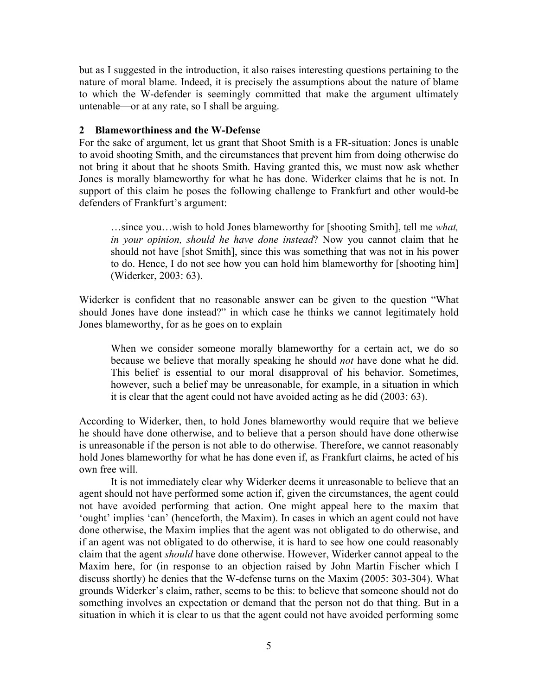but as I suggested in the introduction, it also raises interesting questions pertaining to the nature of moral blame. Indeed, it is precisely the assumptions about the nature of blame to which the W-defender is seemingly committed that make the argument ultimately untenable—or at any rate, so I shall be arguing.

## **2 Blameworthiness and the W-Defense**

For the sake of argument, let us grant that Shoot Smith is a FR-situation: Jones is unable to avoid shooting Smith, and the circumstances that prevent him from doing otherwise do not bring it about that he shoots Smith. Having granted this, we must now ask whether Jones is morally blameworthy for what he has done. Widerker claims that he is not. In support of this claim he poses the following challenge to Frankfurt and other would-be defenders of Frankfurt's argument:

…since you…wish to hold Jones blameworthy for [shooting Smith], tell me *what, in your opinion, should he have done instead*? Now you cannot claim that he should not have [shot Smith], since this was something that was not in his power to do. Hence, I do not see how you can hold him blameworthy for [shooting him] (Widerker, 2003: 63).

Widerker is confident that no reasonable answer can be given to the question "What should Jones have done instead?" in which case he thinks we cannot legitimately hold Jones blameworthy, for as he goes on to explain

When we consider someone morally blameworthy for a certain act, we do so because we believe that morally speaking he should *not* have done what he did. This belief is essential to our moral disapproval of his behavior. Sometimes, however, such a belief may be unreasonable, for example, in a situation in which it is clear that the agent could not have avoided acting as he did (2003: 63).

According to Widerker, then, to hold Jones blameworthy would require that we believe he should have done otherwise, and to believe that a person should have done otherwise is unreasonable if the person is not able to do otherwise. Therefore, we cannot reasonably hold Jones blameworthy for what he has done even if, as Frankfurt claims, he acted of his own free will.

It is not immediately clear why Widerker deems it unreasonable to believe that an agent should not have performed some action if, given the circumstances, the agent could not have avoided performing that action. One might appeal here to the maxim that 'ought' implies 'can' (henceforth, the Maxim). In cases in which an agent could not have done otherwise, the Maxim implies that the agent was not obligated to do otherwise, and if an agent was not obligated to do otherwise, it is hard to see how one could reasonably claim that the agent *should* have done otherwise. However, Widerker cannot appeal to the Maxim here, for (in response to an objection raised by John Martin Fischer which I discuss shortly) he denies that the W-defense turns on the Maxim (2005: 303-304). What grounds Widerker's claim, rather, seems to be this: to believe that someone should not do something involves an expectation or demand that the person not do that thing. But in a situation in which it is clear to us that the agent could not have avoided performing some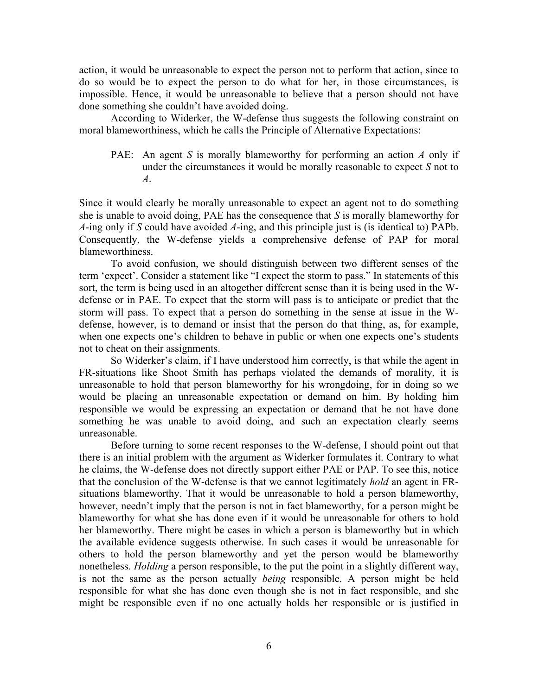action, it would be unreasonable to expect the person not to perform that action, since to do so would be to expect the person to do what for her, in those circumstances, is impossible. Hence, it would be unreasonable to believe that a person should not have done something she couldn't have avoided doing.

According to Widerker, the W-defense thus suggests the following constraint on moral blameworthiness, which he calls the Principle of Alternative Expectations:

PAE: An agent *S* is morally blameworthy for performing an action *A* only if under the circumstances it would be morally reasonable to expect *S* not to *A*.

Since it would clearly be morally unreasonable to expect an agent not to do something she is unable to avoid doing, PAE has the consequence that *S* is morally blameworthy for *A*-ing only if *S* could have avoided *A*-ing, and this principle just is (is identical to) PAPb. Consequently, the W-defense yields a comprehensive defense of PAP for moral blameworthiness.

To avoid confusion, we should distinguish between two different senses of the term 'expect'. Consider a statement like "I expect the storm to pass." In statements of this sort, the term is being used in an altogether different sense than it is being used in the Wdefense or in PAE. To expect that the storm will pass is to anticipate or predict that the storm will pass. To expect that a person do something in the sense at issue in the Wdefense, however, is to demand or insist that the person do that thing, as, for example, when one expects one's children to behave in public or when one expects one's students not to cheat on their assignments.

So Widerker's claim, if I have understood him correctly, is that while the agent in FR-situations like Shoot Smith has perhaps violated the demands of morality, it is unreasonable to hold that person blameworthy for his wrongdoing, for in doing so we would be placing an unreasonable expectation or demand on him. By holding him responsible we would be expressing an expectation or demand that he not have done something he was unable to avoid doing, and such an expectation clearly seems unreasonable.

Before turning to some recent responses to the W-defense, I should point out that there is an initial problem with the argument as Widerker formulates it. Contrary to what he claims, the W-defense does not directly support either PAE or PAP. To see this, notice that the conclusion of the W-defense is that we cannot legitimately *hold* an agent in FRsituations blameworthy. That it would be unreasonable to hold a person blameworthy, however, needn't imply that the person is not in fact blameworthy, for a person might be blameworthy for what she has done even if it would be unreasonable for others to hold her blameworthy. There might be cases in which a person is blameworthy but in which the available evidence suggests otherwise. In such cases it would be unreasonable for others to hold the person blameworthy and yet the person would be blameworthy nonetheless. *Holding* a person responsible, to the put the point in a slightly different way, is not the same as the person actually *being* responsible. A person might be held responsible for what she has done even though she is not in fact responsible, and she might be responsible even if no one actually holds her responsible or is justified in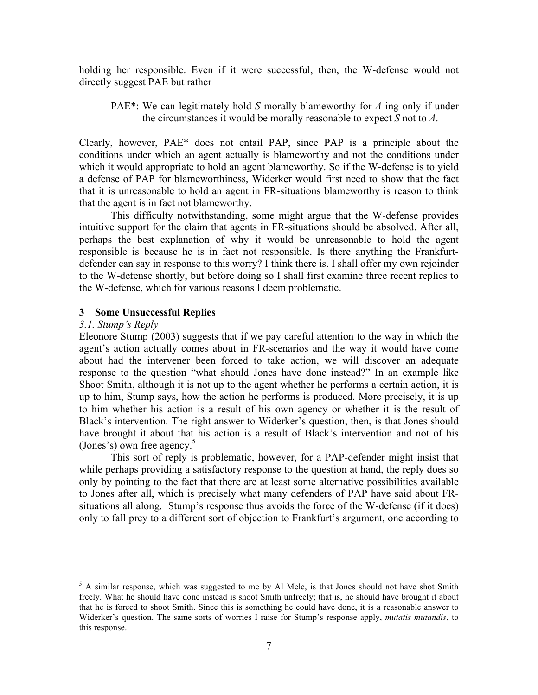holding her responsible. Even if it were successful, then, the W-defense would not directly suggest PAE but rather

PAE\*: We can legitimately hold *S* morally blameworthy for *A*-ing only if under the circumstances it would be morally reasonable to expect *S* not to *A*.

Clearly, however, PAE\* does not entail PAP, since PAP is a principle about the conditions under which an agent actually is blameworthy and not the conditions under which it would appropriate to hold an agent blameworthy. So if the W-defense is to yield a defense of PAP for blameworthiness, Widerker would first need to show that the fact that it is unreasonable to hold an agent in FR-situations blameworthy is reason to think that the agent is in fact not blameworthy.

This difficulty notwithstanding, some might argue that the W-defense provides intuitive support for the claim that agents in FR-situations should be absolved. After all, perhaps the best explanation of why it would be unreasonable to hold the agent responsible is because he is in fact not responsible. Is there anything the Frankfurtdefender can say in response to this worry? I think there is. I shall offer my own rejoinder to the W-defense shortly, but before doing so I shall first examine three recent replies to the W-defense, which for various reasons I deem problematic.

## **3 Some Unsuccessful Replies**

## *3.1. Stump's Reply*

Eleonore Stump (2003) suggests that if we pay careful attention to the way in which the agent's action actually comes about in FR-scenarios and the way it would have come about had the intervener been forced to take action, we will discover an adequate response to the question "what should Jones have done instead?" In an example like Shoot Smith, although it is not up to the agent whether he performs a certain action, it is up to him, Stump says, how the action he performs is produced. More precisely, it is up to him whether his action is a result of his own agency or whether it is the result of Black's intervention. The right answer to Widerker's question, then, is that Jones should have brought it about that his action is a result of Black's intervention and not of his (Jones's) own free agency. $5$ 

This sort of reply is problematic, however, for a PAP-defender might insist that while perhaps providing a satisfactory response to the question at hand, the reply does so only by pointing to the fact that there are at least some alternative possibilities available to Jones after all, which is precisely what many defenders of PAP have said about FRsituations all along. Stump's response thus avoids the force of the W-defense (if it does) only to fall prey to a different sort of objection to Frankfurt's argument, one according to

 $5$  A similar response, which was suggested to me by Al Mele, is that Jones should not have shot Smith freely. What he should have done instead is shoot Smith unfreely; that is, he should have brought it about that he is forced to shoot Smith. Since this is something he could have done, it is a reasonable answer to Widerker's question. The same sorts of worries I raise for Stump's response apply, *mutatis mutandis*, to this response.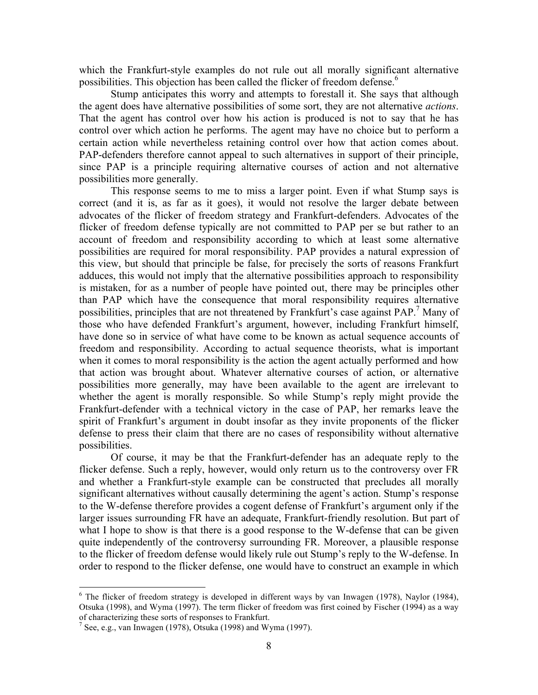which the Frankfurt-style examples do not rule out all morally significant alternative possibilities. This objection has been called the flicker of freedom defense.<sup>6</sup>

Stump anticipates this worry and attempts to forestall it. She says that although the agent does have alternative possibilities of some sort, they are not alternative *actions*. That the agent has control over how his action is produced is not to say that he has control over which action he performs. The agent may have no choice but to perform a certain action while nevertheless retaining control over how that action comes about. PAP-defenders therefore cannot appeal to such alternatives in support of their principle, since PAP is a principle requiring alternative courses of action and not alternative possibilities more generally.

This response seems to me to miss a larger point. Even if what Stump says is correct (and it is, as far as it goes), it would not resolve the larger debate between advocates of the flicker of freedom strategy and Frankfurt-defenders. Advocates of the flicker of freedom defense typically are not committed to PAP per se but rather to an account of freedom and responsibility according to which at least some alternative possibilities are required for moral responsibility. PAP provides a natural expression of this view, but should that principle be false, for precisely the sorts of reasons Frankfurt adduces, this would not imply that the alternative possibilities approach to responsibility is mistaken, for as a number of people have pointed out, there may be principles other than PAP which have the consequence that moral responsibility requires alternative possibilities, principles that are not threatened by Frankfurt's case against  $PAP$ <sup>7</sup> Many of those who have defended Frankfurt's argument, however, including Frankfurt himself, have done so in service of what have come to be known as actual sequence accounts of freedom and responsibility. According to actual sequence theorists, what is important when it comes to moral responsibility is the action the agent actually performed and how that action was brought about. Whatever alternative courses of action, or alternative possibilities more generally, may have been available to the agent are irrelevant to whether the agent is morally responsible. So while Stump's reply might provide the Frankfurt-defender with a technical victory in the case of PAP, her remarks leave the spirit of Frankfurt's argument in doubt insofar as they invite proponents of the flicker defense to press their claim that there are no cases of responsibility without alternative possibilities.

Of course, it may be that the Frankfurt-defender has an adequate reply to the flicker defense. Such a reply, however, would only return us to the controversy over FR and whether a Frankfurt-style example can be constructed that precludes all morally significant alternatives without causally determining the agent's action. Stump's response to the W-defense therefore provides a cogent defense of Frankfurt's argument only if the larger issues surrounding FR have an adequate, Frankfurt-friendly resolution. But part of what I hope to show is that there is a good response to the W-defense that can be given quite independently of the controversy surrounding FR. Moreover, a plausible response to the flicker of freedom defense would likely rule out Stump's reply to the W-defense. In order to respond to the flicker defense, one would have to construct an example in which

 $6$  The flicker of freedom strategy is developed in different ways by van Inwagen (1978), Naylor (1984), Otsuka (1998), and Wyma (1997). The term flicker of freedom was first coined by Fischer (1994) as a way of characterizing these sorts of responses to Frankfurt.

<sup>&</sup>lt;sup>7</sup> See, e.g., van Inwagen (1978), Otsuka (1998) and Wyma (1997).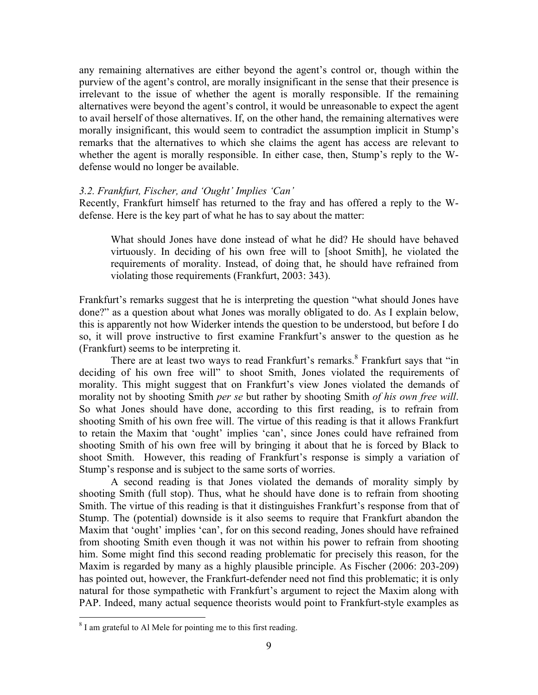any remaining alternatives are either beyond the agent's control or, though within the purview of the agent's control, are morally insignificant in the sense that their presence is irrelevant to the issue of whether the agent is morally responsible. If the remaining alternatives were beyond the agent's control, it would be unreasonable to expect the agent to avail herself of those alternatives. If, on the other hand, the remaining alternatives were morally insignificant, this would seem to contradict the assumption implicit in Stump's remarks that the alternatives to which she claims the agent has access are relevant to whether the agent is morally responsible. In either case, then, Stump's reply to the Wdefense would no longer be available.

## *3.2. Frankfurt, Fischer, and 'Ought' Implies 'Can'*

Recently, Frankfurt himself has returned to the fray and has offered a reply to the Wdefense. Here is the key part of what he has to say about the matter:

What should Jones have done instead of what he did? He should have behaved virtuously. In deciding of his own free will to [shoot Smith], he violated the requirements of morality. Instead, of doing that, he should have refrained from violating those requirements (Frankfurt, 2003: 343).

Frankfurt's remarks suggest that he is interpreting the question "what should Jones have done?" as a question about what Jones was morally obligated to do. As I explain below, this is apparently not how Widerker intends the question to be understood, but before I do so, it will prove instructive to first examine Frankfurt's answer to the question as he (Frankfurt) seems to be interpreting it.

There are at least two ways to read Frankfurt's remarks.<sup>8</sup> Frankfurt says that "in deciding of his own free will" to shoot Smith, Jones violated the requirements of morality. This might suggest that on Frankfurt's view Jones violated the demands of morality not by shooting Smith *per se* but rather by shooting Smith *of his own free will*. So what Jones should have done, according to this first reading, is to refrain from shooting Smith of his own free will. The virtue of this reading is that it allows Frankfurt to retain the Maxim that 'ought' implies 'can', since Jones could have refrained from shooting Smith of his own free will by bringing it about that he is forced by Black to shoot Smith. However, this reading of Frankfurt's response is simply a variation of Stump's response and is subject to the same sorts of worries.

A second reading is that Jones violated the demands of morality simply by shooting Smith (full stop). Thus, what he should have done is to refrain from shooting Smith. The virtue of this reading is that it distinguishes Frankfurt's response from that of Stump. The (potential) downside is it also seems to require that Frankfurt abandon the Maxim that 'ought' implies 'can', for on this second reading, Jones should have refrained from shooting Smith even though it was not within his power to refrain from shooting him. Some might find this second reading problematic for precisely this reason, for the Maxim is regarded by many as a highly plausible principle. As Fischer (2006: 203-209) has pointed out, however, the Frankfurt-defender need not find this problematic; it is only natural for those sympathetic with Frankfurt's argument to reject the Maxim along with PAP. Indeed, many actual sequence theorists would point to Frankfurt-style examples as

<sup>&</sup>lt;sup>8</sup> I am grateful to Al Mele for pointing me to this first reading.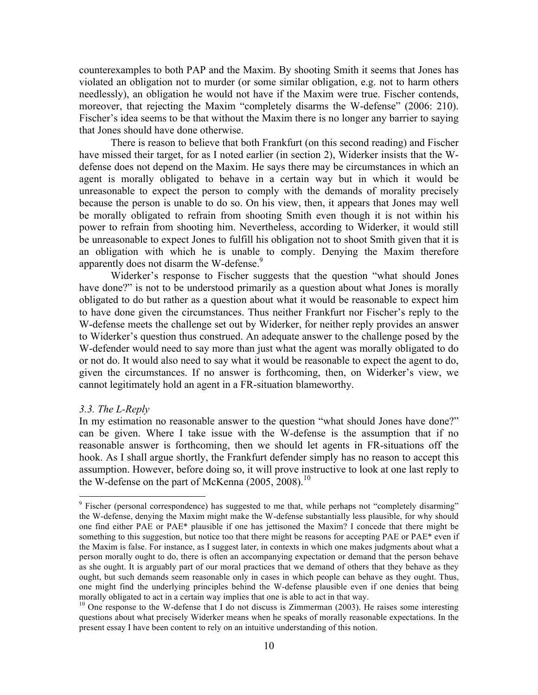counterexamples to both PAP and the Maxim. By shooting Smith it seems that Jones has violated an obligation not to murder (or some similar obligation, e.g. not to harm others needlessly), an obligation he would not have if the Maxim were true. Fischer contends, moreover, that rejecting the Maxim "completely disarms the W-defense" (2006: 210). Fischer's idea seems to be that without the Maxim there is no longer any barrier to saying that Jones should have done otherwise.

There is reason to believe that both Frankfurt (on this second reading) and Fischer have missed their target, for as I noted earlier (in section 2), Widerker insists that the Wdefense does not depend on the Maxim. He says there may be circumstances in which an agent is morally obligated to behave in a certain way but in which it would be unreasonable to expect the person to comply with the demands of morality precisely because the person is unable to do so. On his view, then, it appears that Jones may well be morally obligated to refrain from shooting Smith even though it is not within his power to refrain from shooting him. Nevertheless, according to Widerker, it would still be unreasonable to expect Jones to fulfill his obligation not to shoot Smith given that it is an obligation with which he is unable to comply. Denying the Maxim therefore apparently does not disarm the W-defense.<sup>9</sup>

Widerker's response to Fischer suggests that the question "what should Jones have done?" is not to be understood primarily as a question about what Jones is morally obligated to do but rather as a question about what it would be reasonable to expect him to have done given the circumstances. Thus neither Frankfurt nor Fischer's reply to the W-defense meets the challenge set out by Widerker, for neither reply provides an answer to Widerker's question thus construed. An adequate answer to the challenge posed by the W-defender would need to say more than just what the agent was morally obligated to do or not do. It would also need to say what it would be reasonable to expect the agent to do, given the circumstances. If no answer is forthcoming, then, on Widerker's view, we cannot legitimately hold an agent in a FR-situation blameworthy.

### *3.3. The L-Reply*

In my estimation no reasonable answer to the question "what should Jones have done?" can be given. Where I take issue with the W-defense is the assumption that if no reasonable answer is forthcoming, then we should let agents in FR-situations off the hook. As I shall argue shortly, the Frankfurt defender simply has no reason to accept this assumption. However, before doing so, it will prove instructive to look at one last reply to the W-defense on the part of McKenna  $(2005, 2008)^{10}$ 

<sup>&</sup>lt;sup>9</sup> Fischer (personal correspondence) has suggested to me that, while perhaps not "completely disarming" the W-defense, denying the Maxim might make the W-defense substantially less plausible, for why should one find either PAE or PAE\* plausible if one has jettisoned the Maxim? I concede that there might be something to this suggestion, but notice too that there might be reasons for accepting PAE or PAE\* even if the Maxim is false. For instance, as I suggest later, in contexts in which one makes judgments about what a person morally ought to do, there is often an accompanying expectation or demand that the person behave as she ought. It is arguably part of our moral practices that we demand of others that they behave as they ought, but such demands seem reasonable only in cases in which people can behave as they ought. Thus, one might find the underlying principles behind the W-defense plausible even if one denies that being morally obligated to act in a certain way implies that one is able to act in that way.<br><sup>10</sup> One response to the W-defense that I do not discuss is Zimmerman (2003). He raises some interesting

questions about what precisely Widerker means when he speaks of morally reasonable expectations. In the present essay I have been content to rely on an intuitive understanding of this notion.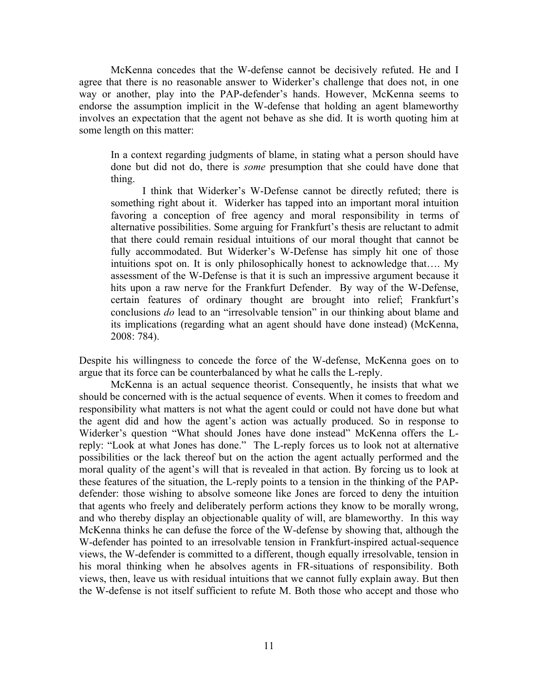McKenna concedes that the W-defense cannot be decisively refuted. He and I agree that there is no reasonable answer to Widerker's challenge that does not, in one way or another, play into the PAP-defender's hands. However, McKenna seems to endorse the assumption implicit in the W-defense that holding an agent blameworthy involves an expectation that the agent not behave as she did. It is worth quoting him at some length on this matter:

In a context regarding judgments of blame, in stating what a person should have done but did not do, there is *some* presumption that she could have done that thing.

I think that Widerker's W-Defense cannot be directly refuted; there is something right about it. Widerker has tapped into an important moral intuition favoring a conception of free agency and moral responsibility in terms of alternative possibilities. Some arguing for Frankfurt's thesis are reluctant to admit that there could remain residual intuitions of our moral thought that cannot be fully accommodated. But Widerker's W-Defense has simply hit one of those intuitions spot on. It is only philosophically honest to acknowledge that…. My assessment of the W-Defense is that it is such an impressive argument because it hits upon a raw nerve for the Frankfurt Defender. By way of the W-Defense, certain features of ordinary thought are brought into relief; Frankfurt's conclusions *do* lead to an "irresolvable tension" in our thinking about blame and its implications (regarding what an agent should have done instead) (McKenna, 2008: 784).

Despite his willingness to concede the force of the W-defense, McKenna goes on to argue that its force can be counterbalanced by what he calls the L-reply.

McKenna is an actual sequence theorist. Consequently, he insists that what we should be concerned with is the actual sequence of events. When it comes to freedom and responsibility what matters is not what the agent could or could not have done but what the agent did and how the agent's action was actually produced. So in response to Widerker's question "What should Jones have done instead" McKenna offers the Lreply: "Look at what Jones has done." The L-reply forces us to look not at alternative possibilities or the lack thereof but on the action the agent actually performed and the moral quality of the agent's will that is revealed in that action. By forcing us to look at these features of the situation, the L-reply points to a tension in the thinking of the PAPdefender: those wishing to absolve someone like Jones are forced to deny the intuition that agents who freely and deliberately perform actions they know to be morally wrong, and who thereby display an objectionable quality of will, are blameworthy. In this way McKenna thinks he can defuse the force of the W-defense by showing that, although the W-defender has pointed to an irresolvable tension in Frankfurt-inspired actual-sequence views, the W-defender is committed to a different, though equally irresolvable, tension in his moral thinking when he absolves agents in FR-situations of responsibility. Both views, then, leave us with residual intuitions that we cannot fully explain away. But then the W-defense is not itself sufficient to refute M. Both those who accept and those who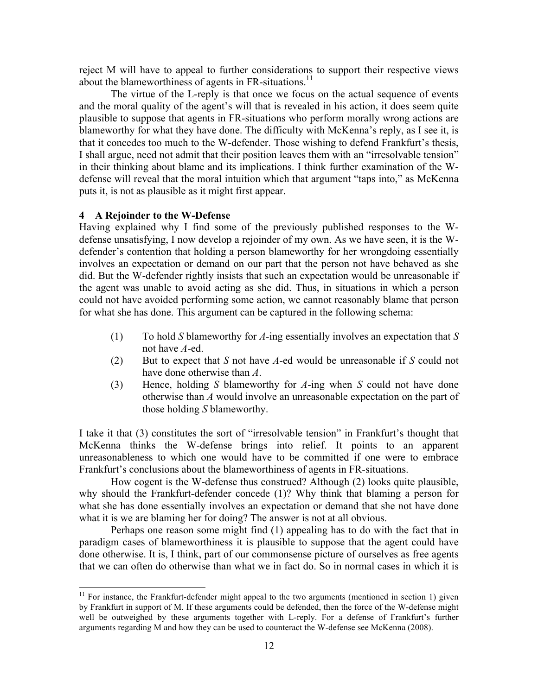reject M will have to appeal to further considerations to support their respective views about the blameworthiness of agents in FR-situations.<sup>11</sup>

The virtue of the L-reply is that once we focus on the actual sequence of events and the moral quality of the agent's will that is revealed in his action, it does seem quite plausible to suppose that agents in FR-situations who perform morally wrong actions are blameworthy for what they have done. The difficulty with McKenna's reply, as I see it, is that it concedes too much to the W-defender. Those wishing to defend Frankfurt's thesis, I shall argue, need not admit that their position leaves them with an "irresolvable tension" in their thinking about blame and its implications. I think further examination of the Wdefense will reveal that the moral intuition which that argument "taps into," as McKenna puts it, is not as plausible as it might first appear.

# **4 A Rejoinder to the W-Defense**

Having explained why I find some of the previously published responses to the Wdefense unsatisfying, I now develop a rejoinder of my own. As we have seen, it is the Wdefender's contention that holding a person blameworthy for her wrongdoing essentially involves an expectation or demand on our part that the person not have behaved as she did. But the W-defender rightly insists that such an expectation would be unreasonable if the agent was unable to avoid acting as she did. Thus, in situations in which a person could not have avoided performing some action, we cannot reasonably blame that person for what she has done. This argument can be captured in the following schema:

- (1) To hold *S* blameworthy for *A*-ing essentially involves an expectation that *S* not have *A*-ed.
- (2) But to expect that *S* not have *A*-ed would be unreasonable if *S* could not have done otherwise than *A*.
- (3) Hence, holding *S* blameworthy for *A*-ing when *S* could not have done otherwise than *A* would involve an unreasonable expectation on the part of those holding *S* blameworthy.

I take it that (3) constitutes the sort of "irresolvable tension" in Frankfurt's thought that McKenna thinks the W-defense brings into relief. It points to an apparent unreasonableness to which one would have to be committed if one were to embrace Frankfurt's conclusions about the blameworthiness of agents in FR-situations.

How cogent is the W-defense thus construed? Although (2) looks quite plausible, why should the Frankfurt-defender concede (1)? Why think that blaming a person for what she has done essentially involves an expectation or demand that she not have done what it is we are blaming her for doing? The answer is not at all obvious.

Perhaps one reason some might find (1) appealing has to do with the fact that in paradigm cases of blameworthiness it is plausible to suppose that the agent could have done otherwise. It is, I think, part of our commonsense picture of ourselves as free agents that we can often do otherwise than what we in fact do. So in normal cases in which it is

 $11$  For instance, the Frankfurt-defender might appeal to the two arguments (mentioned in section 1) given by Frankfurt in support of M. If these arguments could be defended, then the force of the W-defense might well be outweighed by these arguments together with L-reply. For a defense of Frankfurt's further arguments regarding M and how they can be used to counteract the W-defense see McKenna (2008).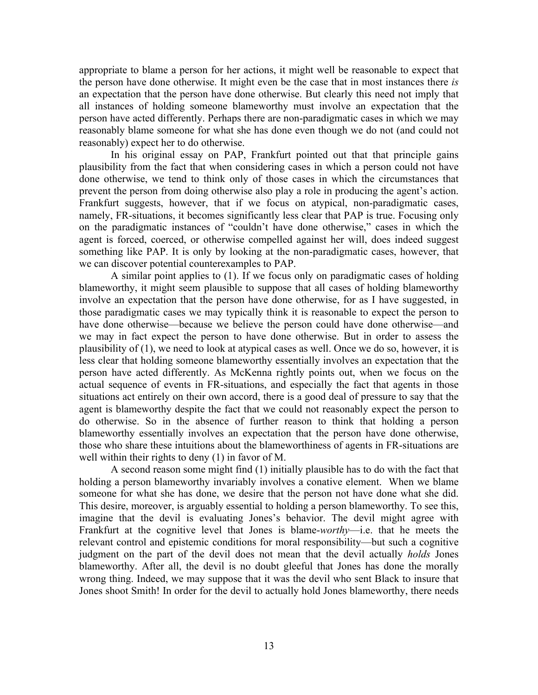appropriate to blame a person for her actions, it might well be reasonable to expect that the person have done otherwise. It might even be the case that in most instances there *is* an expectation that the person have done otherwise. But clearly this need not imply that all instances of holding someone blameworthy must involve an expectation that the person have acted differently. Perhaps there are non-paradigmatic cases in which we may reasonably blame someone for what she has done even though we do not (and could not reasonably) expect her to do otherwise.

In his original essay on PAP, Frankfurt pointed out that that principle gains plausibility from the fact that when considering cases in which a person could not have done otherwise, we tend to think only of those cases in which the circumstances that prevent the person from doing otherwise also play a role in producing the agent's action. Frankfurt suggests, however, that if we focus on atypical, non-paradigmatic cases, namely, FR-situations, it becomes significantly less clear that PAP is true. Focusing only on the paradigmatic instances of "couldn't have done otherwise," cases in which the agent is forced, coerced, or otherwise compelled against her will, does indeed suggest something like PAP. It is only by looking at the non-paradigmatic cases, however, that we can discover potential counterexamples to PAP.

A similar point applies to (1). If we focus only on paradigmatic cases of holding blameworthy, it might seem plausible to suppose that all cases of holding blameworthy involve an expectation that the person have done otherwise, for as I have suggested, in those paradigmatic cases we may typically think it is reasonable to expect the person to have done otherwise—because we believe the person could have done otherwise—and we may in fact expect the person to have done otherwise. But in order to assess the plausibility of (1), we need to look at atypical cases as well. Once we do so, however, it is less clear that holding someone blameworthy essentially involves an expectation that the person have acted differently. As McKenna rightly points out, when we focus on the actual sequence of events in FR-situations, and especially the fact that agents in those situations act entirely on their own accord, there is a good deal of pressure to say that the agent is blameworthy despite the fact that we could not reasonably expect the person to do otherwise. So in the absence of further reason to think that holding a person blameworthy essentially involves an expectation that the person have done otherwise, those who share these intuitions about the blameworthiness of agents in FR-situations are well within their rights to deny (1) in favor of M.

A second reason some might find (1) initially plausible has to do with the fact that holding a person blameworthy invariably involves a conative element. When we blame someone for what she has done, we desire that the person not have done what she did. This desire, moreover, is arguably essential to holding a person blameworthy. To see this, imagine that the devil is evaluating Jones's behavior. The devil might agree with Frankfurt at the cognitive level that Jones is blame-*worthy*—i.e. that he meets the relevant control and epistemic conditions for moral responsibility—but such a cognitive judgment on the part of the devil does not mean that the devil actually *holds* Jones blameworthy. After all, the devil is no doubt gleeful that Jones has done the morally wrong thing. Indeed, we may suppose that it was the devil who sent Black to insure that Jones shoot Smith! In order for the devil to actually hold Jones blameworthy, there needs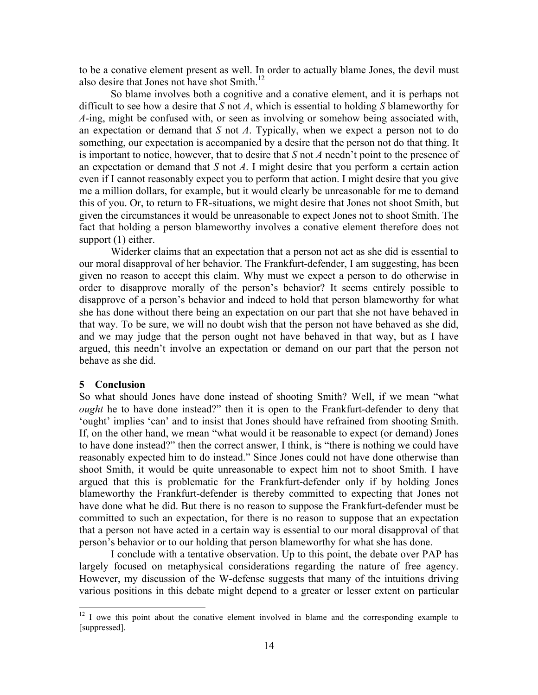to be a conative element present as well. In order to actually blame Jones, the devil must also desire that Jones not have shot Smith.<sup>12</sup>

So blame involves both a cognitive and a conative element, and it is perhaps not difficult to see how a desire that *S* not *A*, which is essential to holding *S* blameworthy for *A*-ing, might be confused with, or seen as involving or somehow being associated with, an expectation or demand that *S* not *A*. Typically, when we expect a person not to do something, our expectation is accompanied by a desire that the person not do that thing. It is important to notice, however, that to desire that *S* not *A* needn't point to the presence of an expectation or demand that *S* not *A*. I might desire that you perform a certain action even if I cannot reasonably expect you to perform that action. I might desire that you give me a million dollars, for example, but it would clearly be unreasonable for me to demand this of you. Or, to return to FR-situations, we might desire that Jones not shoot Smith, but given the circumstances it would be unreasonable to expect Jones not to shoot Smith. The fact that holding a person blameworthy involves a conative element therefore does not support (1) either.

Widerker claims that an expectation that a person not act as she did is essential to our moral disapproval of her behavior. The Frankfurt-defender, I am suggesting, has been given no reason to accept this claim. Why must we expect a person to do otherwise in order to disapprove morally of the person's behavior? It seems entirely possible to disapprove of a person's behavior and indeed to hold that person blameworthy for what she has done without there being an expectation on our part that she not have behaved in that way. To be sure, we will no doubt wish that the person not have behaved as she did, and we may judge that the person ought not have behaved in that way, but as I have argued, this needn't involve an expectation or demand on our part that the person not behave as she did.

#### **5 Conclusion**

So what should Jones have done instead of shooting Smith? Well, if we mean "what *ought* he to have done instead?" then it is open to the Frankfurt-defender to deny that 'ought' implies 'can' and to insist that Jones should have refrained from shooting Smith. If, on the other hand, we mean "what would it be reasonable to expect (or demand) Jones to have done instead?" then the correct answer, I think, is "there is nothing we could have reasonably expected him to do instead." Since Jones could not have done otherwise than shoot Smith, it would be quite unreasonable to expect him not to shoot Smith. I have argued that this is problematic for the Frankfurt-defender only if by holding Jones blameworthy the Frankfurt-defender is thereby committed to expecting that Jones not have done what he did. But there is no reason to suppose the Frankfurt-defender must be committed to such an expectation, for there is no reason to suppose that an expectation that a person not have acted in a certain way is essential to our moral disapproval of that person's behavior or to our holding that person blameworthy for what she has done.

I conclude with a tentative observation. Up to this point, the debate over PAP has largely focused on metaphysical considerations regarding the nature of free agency. However, my discussion of the W-defense suggests that many of the intuitions driving various positions in this debate might depend to a greater or lesser extent on particular

<sup>&</sup>lt;sup>12</sup> I owe this point about the conative element involved in blame and the corresponding example to [suppressed].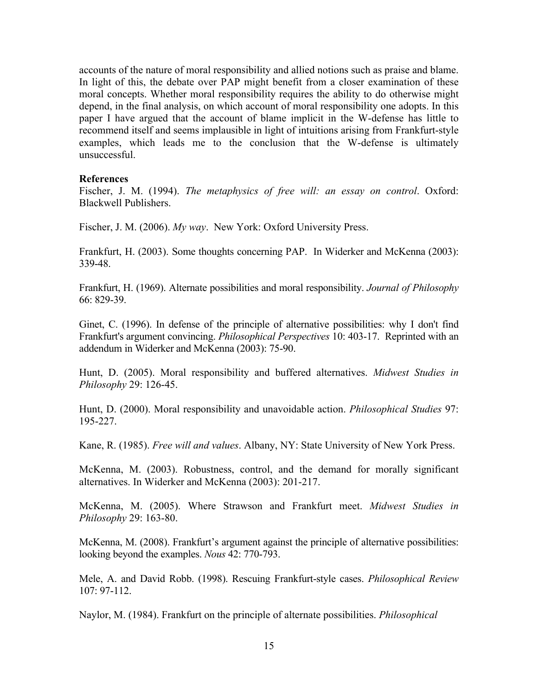accounts of the nature of moral responsibility and allied notions such as praise and blame. In light of this, the debate over PAP might benefit from a closer examination of these moral concepts. Whether moral responsibility requires the ability to do otherwise might depend, in the final analysis, on which account of moral responsibility one adopts. In this paper I have argued that the account of blame implicit in the W-defense has little to recommend itself and seems implausible in light of intuitions arising from Frankfurt-style examples, which leads me to the conclusion that the W-defense is ultimately unsuccessful.

### **References**

Fischer, J. M. (1994). *The metaphysics of free will: an essay on control*. Oxford: Blackwell Publishers.

Fischer, J. M. (2006). *My way*. New York: Oxford University Press.

Frankfurt, H. (2003). Some thoughts concerning PAP. In Widerker and McKenna (2003): 339-48.

Frankfurt, H. (1969). Alternate possibilities and moral responsibility. *Journal of Philosophy* 66: 829-39.

Ginet, C. (1996). In defense of the principle of alternative possibilities: why I don't find Frankfurt's argument convincing. *Philosophical Perspectives* 10: 403-17. Reprinted with an addendum in Widerker and McKenna (2003): 75-90.

Hunt, D. (2005). Moral responsibility and buffered alternatives. *Midwest Studies in Philosophy* 29: 126-45.

Hunt, D. (2000). Moral responsibility and unavoidable action. *Philosophical Studies* 97: 195-227.

Kane, R. (1985). *Free will and values*. Albany, NY: State University of New York Press.

McKenna, M. (2003). Robustness, control, and the demand for morally significant alternatives. In Widerker and McKenna (2003): 201-217.

McKenna, M. (2005). Where Strawson and Frankfurt meet. *Midwest Studies in Philosophy* 29: 163-80.

McKenna, M. (2008). Frankfurt's argument against the principle of alternative possibilities: looking beyond the examples. *Nous* 42: 770-793.

Mele, A. and David Robb. (1998). Rescuing Frankfurt-style cases. *Philosophical Review* 107: 97-112.

Naylor, M. (1984). Frankfurt on the principle of alternate possibilities. *Philosophical*